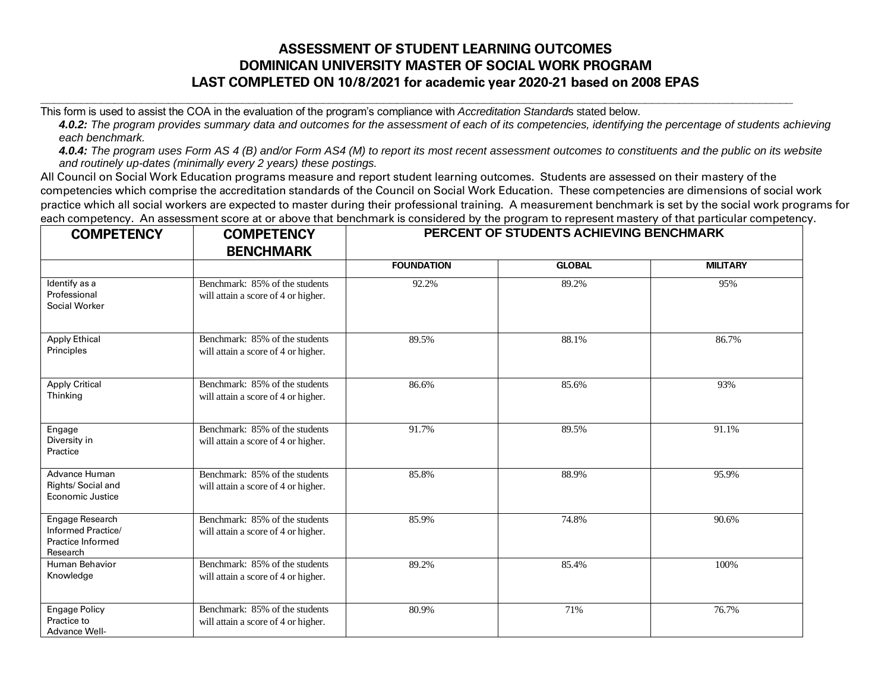## **ASSESSMENT OF STUDENT LEARNING OUTCOMES DOMINICAN UNIVERSITY MASTER OF SOCIAL WORK PROGRAM LAST COMPLETED ON 10/8/2021 for academic year 2020-21 based on 2008 EPAS**

This form is used to assist the COA in the evaluation of the program's compliance with *Accreditation Standard*s stated below.

*4.0.2: The program provides summary data and outcomes for the assessment of each of its competencies, identifying the percentage of students achieving each benchmark.*

**\_\_\_\_\_\_\_\_\_\_\_\_\_\_\_\_\_\_\_\_\_\_\_\_\_\_\_\_\_\_\_\_\_\_\_\_\_\_\_\_\_\_\_\_\_\_\_\_\_\_\_\_\_\_\_\_\_\_\_\_\_\_\_\_\_\_\_\_\_\_\_\_\_\_\_\_\_\_\_\_\_\_\_\_\_\_\_\_\_\_\_\_\_\_\_\_\_\_\_\_\_\_\_\_\_\_\_\_\_\_\_\_**

*4.0.4: The program uses Form AS 4 (B) and/or Form AS4 (M) to report its most recent assessment outcomes to constituents and the public on its website and routinely up-dates (minimally every 2 years) these postings.*

All Council on Social Work Education programs measure and report student learning outcomes. Students are assessed on their mastery of the competencies which comprise the accreditation standards of the Council on Social Work Education. These competencies are dimensions of social work practice which all social workers are expected to master during their professional training. A measurement benchmark is set by the social work programs for each competency. An assessment score at or above that benchmark is considered by the program to represent mastery of that particular competency.

| <b>COMPETENCY</b>                                                      | <b>COMPETENCY</b><br><b>BENCHMARK</b>                                 | PERCENT OF STUDENTS ACHIEVING BENCHMARK |               |                 |
|------------------------------------------------------------------------|-----------------------------------------------------------------------|-----------------------------------------|---------------|-----------------|
|                                                                        |                                                                       | <b>FOUNDATION</b>                       | <b>GLOBAL</b> | <b>MILITARY</b> |
| Identify as a<br>Professional<br>Social Worker                         | Benchmark: 85% of the students<br>will attain a score of 4 or higher. | 92.2%                                   | 89.2%         | 95%             |
| <b>Apply Ethical</b><br>Principles                                     | Benchmark: 85% of the students<br>will attain a score of 4 or higher. | 89.5%                                   | 88.1%         | 86.7%           |
| <b>Apply Critical</b><br>Thinking                                      | Benchmark: 85% of the students<br>will attain a score of 4 or higher. | 86.6%                                   | 85.6%         | 93%             |
| Engage<br>Diversity in<br>Practice                                     | Benchmark: 85% of the students<br>will attain a score of 4 or higher. | 91.7%                                   | 89.5%         | 91.1%           |
| Advance Human<br>Rights/ Social and<br>Economic Justice                | Benchmark: 85% of the students<br>will attain a score of 4 or higher. | 85.8%                                   | 88.9%         | 95.9%           |
| Engage Research<br>Informed Practice/<br>Practice Informed<br>Research | Benchmark: 85% of the students<br>will attain a score of 4 or higher. | 85.9%                                   | 74.8%         | 90.6%           |
| Human Behavior<br>Knowledge                                            | Benchmark: 85% of the students<br>will attain a score of 4 or higher. | 89.2%                                   | 85.4%         | 100%            |
| <b>Engage Policy</b><br>Practice to<br><b>Advance Well-</b>            | Benchmark: 85% of the students<br>will attain a score of 4 or higher. | 80.9%                                   | 71%           | 76.7%           |